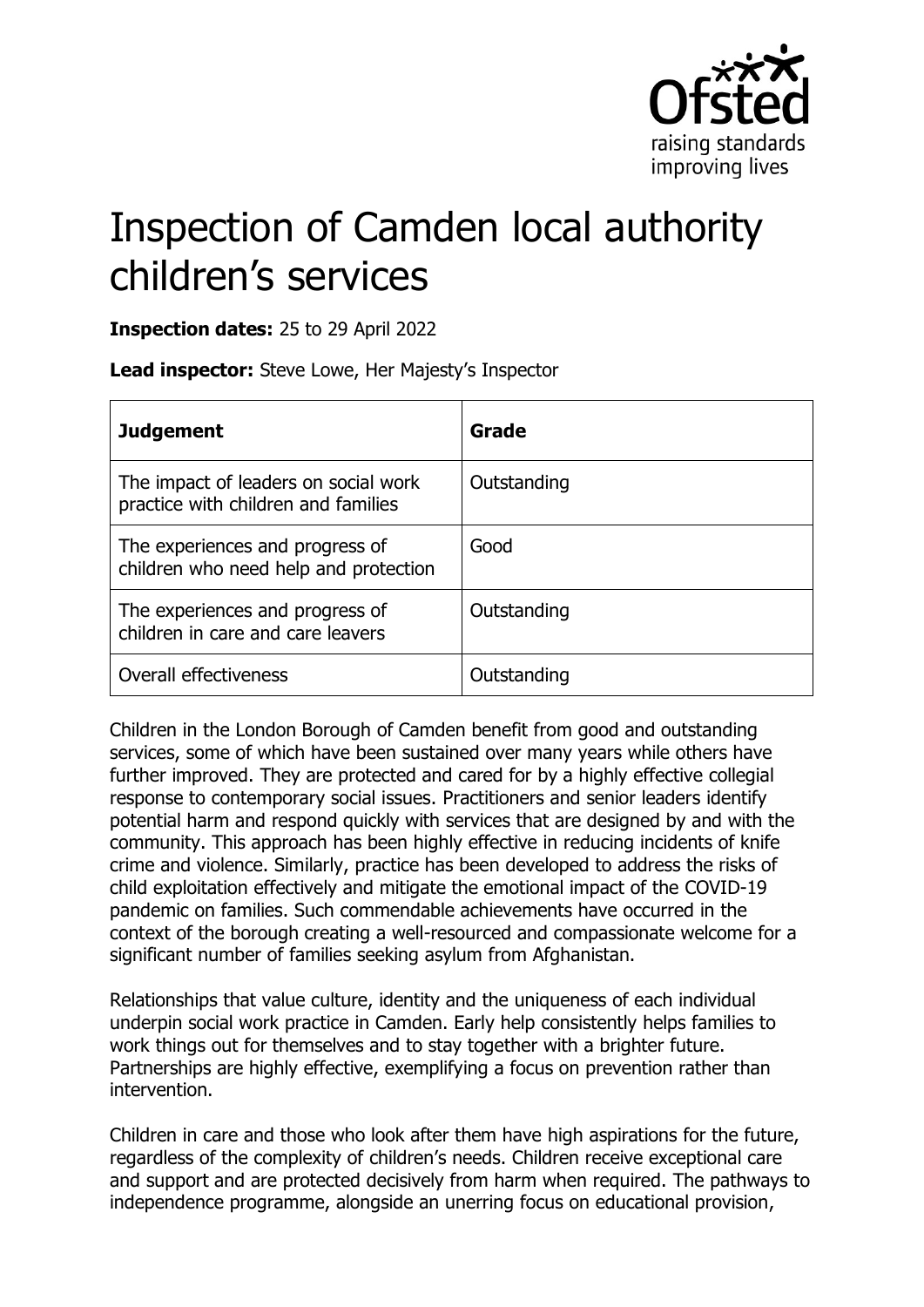

# Inspection of Camden local authority children's services

**Inspection dates:** 25 to 29 April 2022

**Lead inspector:** Steve Lowe, Her Majesty's Inspector

| <b>Judgement</b>                                                            | Grade       |
|-----------------------------------------------------------------------------|-------------|
| The impact of leaders on social work<br>practice with children and families | Outstanding |
| The experiences and progress of<br>children who need help and protection    | Good        |
| The experiences and progress of<br>children in care and care leavers        | Outstanding |
| Overall effectiveness                                                       | Outstanding |

Children in the London Borough of Camden benefit from good and outstanding services, some of which have been sustained over many years while others have further improved. They are protected and cared for by a highly effective collegial response to contemporary social issues. Practitioners and senior leaders identify potential harm and respond quickly with services that are designed by and with the community. This approach has been highly effective in reducing incidents of knife crime and violence. Similarly, practice has been developed to address the risks of child exploitation effectively and mitigate the emotional impact of the COVID-19 pandemic on families. Such commendable achievements have occurred in the context of the borough creating a well-resourced and compassionate welcome for a significant number of families seeking asylum from Afghanistan.

Relationships that value culture, identity and the uniqueness of each individual underpin social work practice in Camden. Early help consistently helps families to work things out for themselves and to stay together with a brighter future. Partnerships are highly effective, exemplifying a focus on prevention rather than intervention.

Children in care and those who look after them have high aspirations for the future, regardless of the complexity of children's needs. Children receive exceptional care and support and are protected decisively from harm when required. The pathways to independence programme, alongside an unerring focus on educational provision,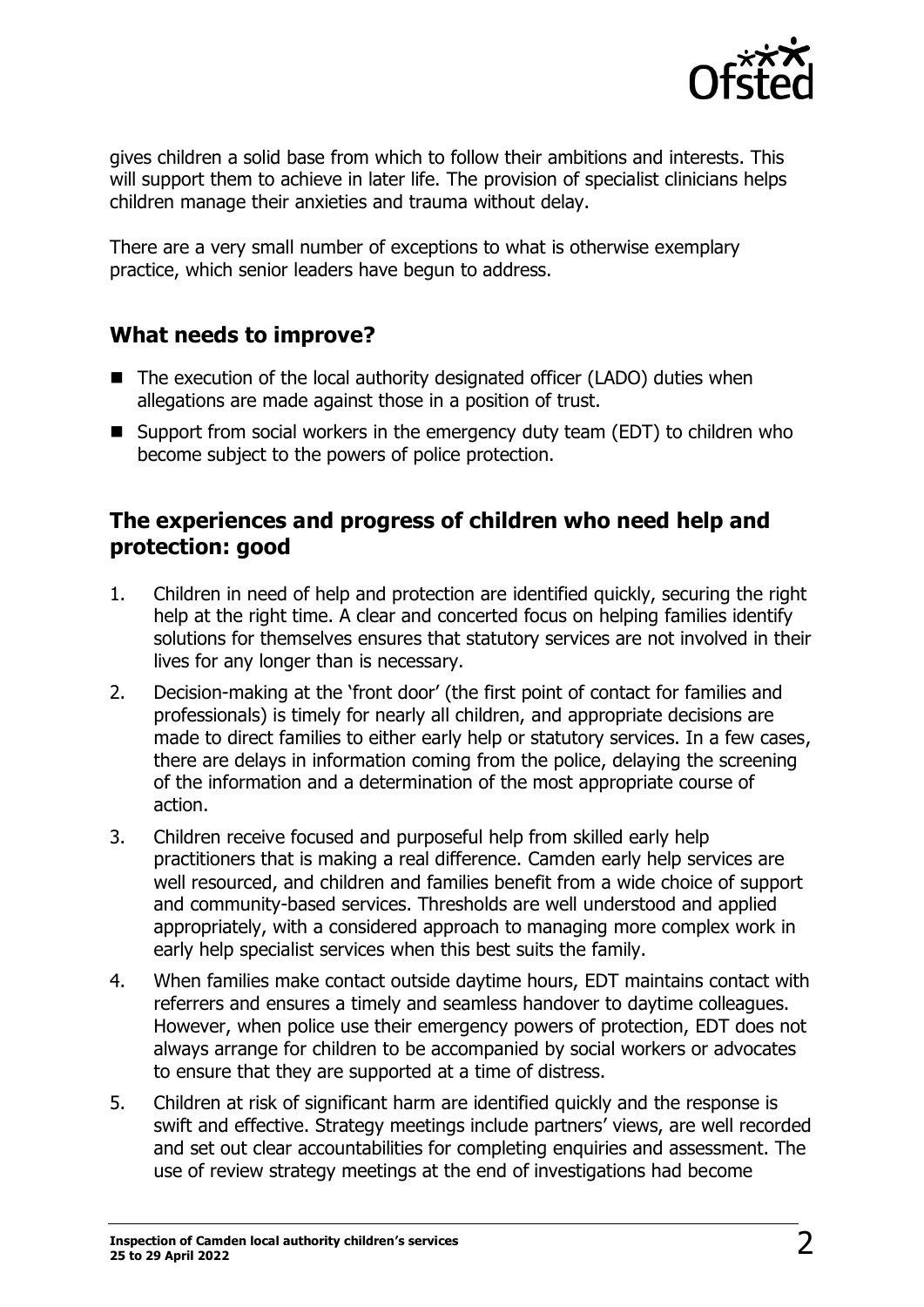

gives children a solid base from which to follow their ambitions and interests. This will support them to achieve in later life. The provision of specialist clinicians helps children manage their anxieties and trauma without delay.

There are a very small number of exceptions to what is otherwise exemplary practice, which senior leaders have begun to address.

# **What needs to improve?**

- The execution of the local authority designated officer (LADO) duties when allegations are made against those in a position of trust.
- Support from social workers in the emergency duty team (EDT) to children who become subject to the powers of police protection.

#### **The experiences and progress of children who need help and protection: good**

- 1. Children in need of help and protection are identified quickly, securing the right help at the right time. A clear and concerted focus on helping families identify solutions for themselves ensures that statutory services are not involved in their lives for any longer than is necessary.
- 2. Decision-making at the 'front door' (the first point of contact for families and professionals) is timely for nearly all children, and appropriate decisions are made to direct families to either early help or statutory services. In a few cases, there are delays in information coming from the police, delaying the screening of the information and a determination of the most appropriate course of action.
- 3. Children receive focused and purposeful help from skilled early help practitioners that is making a real difference. Camden early help services are well resourced, and children and families benefit from a wide choice of support and community-based services. Thresholds are well understood and applied appropriately, with a considered approach to managing more complex work in early help specialist services when this best suits the family.
- 4. When families make contact outside daytime hours, EDT maintains contact with referrers and ensures a timely and seamless handover to daytime colleagues. However, when police use their emergency powers of protection, EDT does not always arrange for children to be accompanied by social workers or advocates to ensure that they are supported at a time of distress.
- 5. Children at risk of significant harm are identified quickly and the response is swift and effective. Strategy meetings include partners' views, are well recorded and set out clear accountabilities for completing enquiries and assessment. The use of review strategy meetings at the end of investigations had become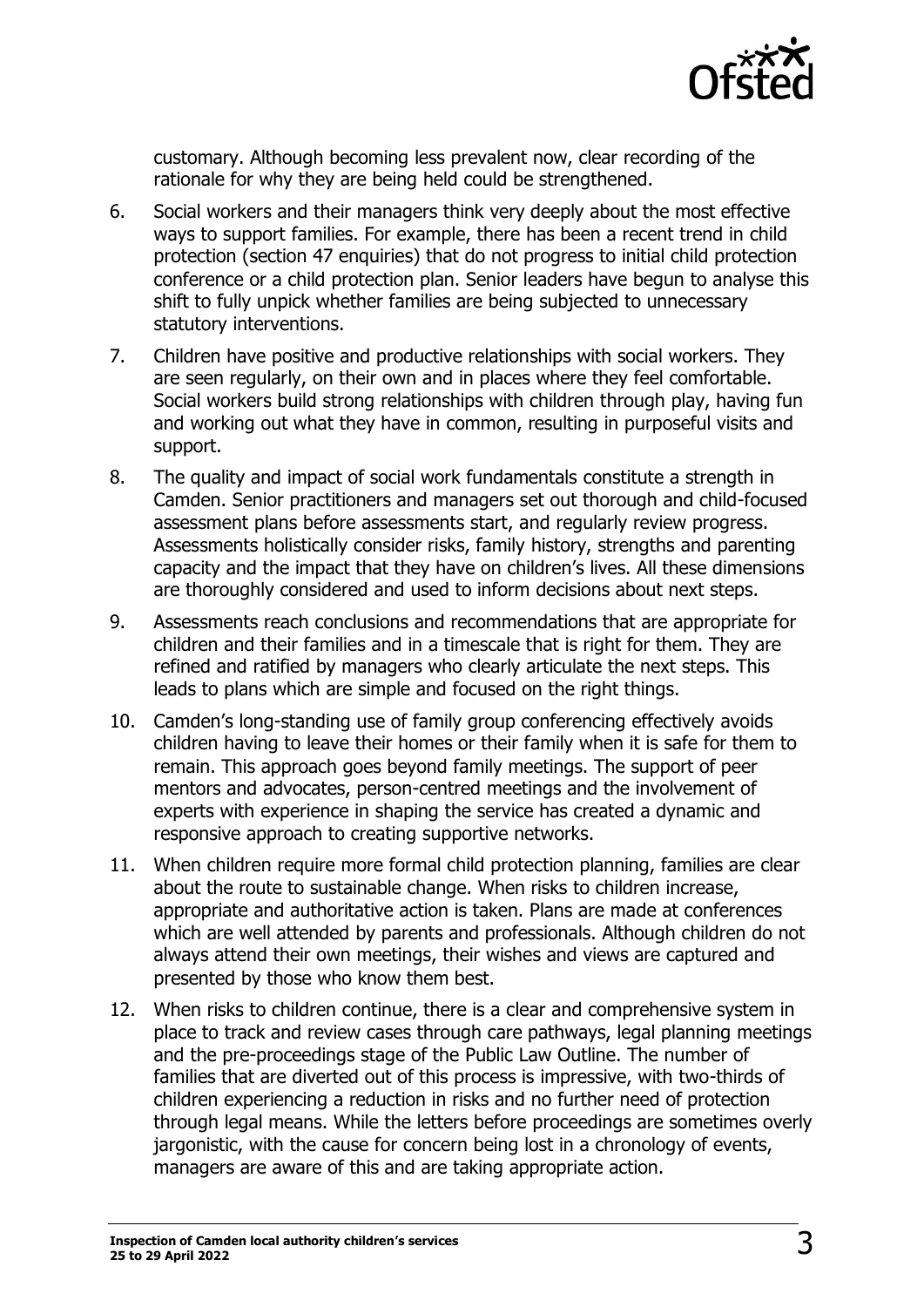

customary. Although becoming less prevalent now, clear recording of the rationale for why they are being held could be strengthened.

- 6. Social workers and their managers think very deeply about the most effective ways to support families. For example, there has been a recent trend in child protection (section 47 enquiries) that do not progress to initial child protection conference or a child protection plan. Senior leaders have begun to analyse this shift to fully unpick whether families are being subjected to unnecessary statutory interventions.
- 7. Children have positive and productive relationships with social workers. They are seen regularly, on their own and in places where they feel comfortable. Social workers build strong relationships with children through play, having fun and working out what they have in common, resulting in purposeful visits and support.
- 8. The quality and impact of social work fundamentals constitute a strength in Camden. Senior practitioners and managers set out thorough and child-focused assessment plans before assessments start, and regularly review progress. Assessments holistically consider risks, family history, strengths and parenting capacity and the impact that they have on children's lives. All these dimensions are thoroughly considered and used to inform decisions about next steps.
- 9. Assessments reach conclusions and recommendations that are appropriate for children and their families and in a timescale that is right for them. They are refined and ratified by managers who clearly articulate the next steps. This leads to plans which are simple and focused on the right things.
- 10. Camden's long-standing use of family group conferencing effectively avoids children having to leave their homes or their family when it is safe for them to remain. This approach goes beyond family meetings. The support of peer mentors and advocates, person-centred meetings and the involvement of experts with experience in shaping the service has created a dynamic and responsive approach to creating supportive networks.
- 11. When children require more formal child protection planning, families are clear about the route to sustainable change. When risks to children increase, appropriate and authoritative action is taken. Plans are made at conferences which are well attended by parents and professionals. Although children do not always attend their own meetings, their wishes and views are captured and presented by those who know them best.
- 12. When risks to children continue, there is a clear and comprehensive system in place to track and review cases through care pathways, legal planning meetings and the pre-proceedings stage of the Public Law Outline. The number of families that are diverted out of this process is impressive, with two-thirds of children experiencing a reduction in risks and no further need of protection through legal means. While the letters before proceedings are sometimes overly jargonistic, with the cause for concern being lost in a chronology of events, managers are aware of this and are taking appropriate action.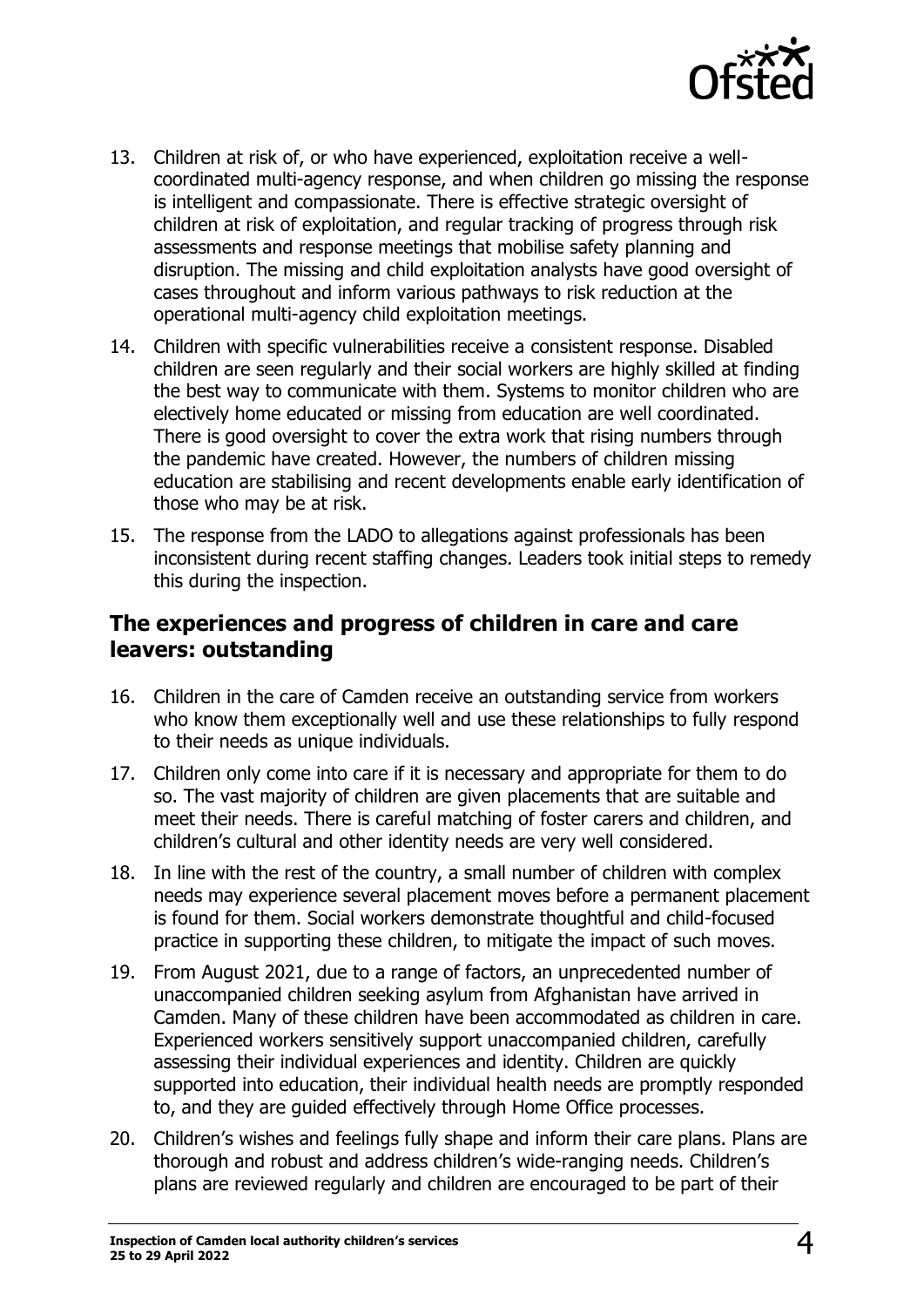

- 13. Children at risk of, or who have experienced, exploitation receive a wellcoordinated multi-agency response, and when children go missing the response is intelligent and compassionate. There is effective strategic oversight of children at risk of exploitation, and regular tracking of progress through risk assessments and response meetings that mobilise safety planning and disruption. The missing and child exploitation analysts have good oversight of cases throughout and inform various pathways to risk reduction at the operational multi-agency child exploitation meetings.
- 14. Children with specific vulnerabilities receive a consistent response. Disabled children are seen regularly and their social workers are highly skilled at finding the best way to communicate with them. Systems to monitor children who are electively home educated or missing from education are well coordinated. There is good oversight to cover the extra work that rising numbers through the pandemic have created. However, the numbers of children missing education are stabilising and recent developments enable early identification of those who may be at risk.
- 15. The response from the LADO to allegations against professionals has been inconsistent during recent staffing changes. Leaders took initial steps to remedy this during the inspection.

### **The experiences and progress of children in care and care leavers: outstanding**

- 16. Children in the care of Camden receive an outstanding service from workers who know them exceptionally well and use these relationships to fully respond to their needs as unique individuals.
- 17. Children only come into care if it is necessary and appropriate for them to do so. The vast majority of children are given placements that are suitable and meet their needs. There is careful matching of foster carers and children, and children's cultural and other identity needs are very well considered.
- 18. In line with the rest of the country, a small number of children with complex needs may experience several placement moves before a permanent placement is found for them. Social workers demonstrate thoughtful and child-focused practice in supporting these children, to mitigate the impact of such moves.
- 19. From August 2021, due to a range of factors, an unprecedented number of unaccompanied children seeking asylum from Afghanistan have arrived in Camden. Many of these children have been accommodated as children in care. Experienced workers sensitively support unaccompanied children, carefully assessing their individual experiences and identity. Children are quickly supported into education, their individual health needs are promptly responded to, and they are guided effectively through Home Office processes.
- 20. Children's wishes and feelings fully shape and inform their care plans. Plans are thorough and robust and address children's wide-ranging needs. Children's plans are reviewed regularly and children are encouraged to be part of their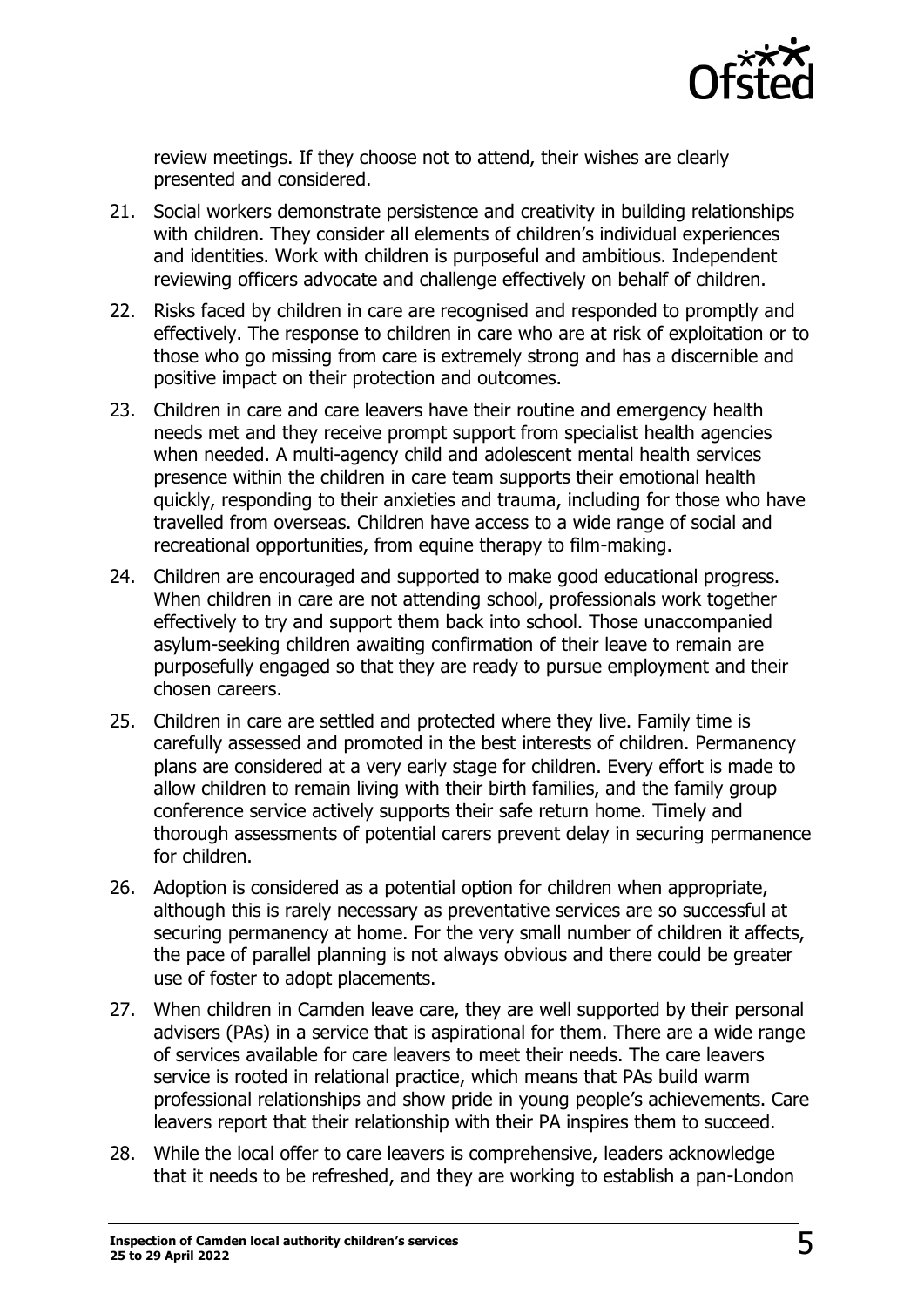

review meetings. If they choose not to attend, their wishes are clearly presented and considered.

- 21. Social workers demonstrate persistence and creativity in building relationships with children. They consider all elements of children's individual experiences and identities. Work with children is purposeful and ambitious. Independent reviewing officers advocate and challenge effectively on behalf of children.
- 22. Risks faced by children in care are recognised and responded to promptly and effectively. The response to children in care who are at risk of exploitation or to those who go missing from care is extremely strong and has a discernible and positive impact on their protection and outcomes.
- 23. Children in care and care leavers have their routine and emergency health needs met and they receive prompt support from specialist health agencies when needed. A multi-agency child and adolescent mental health services presence within the children in care team supports their emotional health quickly, responding to their anxieties and trauma, including for those who have travelled from overseas. Children have access to a wide range of social and recreational opportunities, from equine therapy to film-making.
- 24. Children are encouraged and supported to make good educational progress. When children in care are not attending school, professionals work together effectively to try and support them back into school. Those unaccompanied asylum-seeking children awaiting confirmation of their leave to remain are purposefully engaged so that they are ready to pursue employment and their chosen careers.
- 25. Children in care are settled and protected where they live. Family time is carefully assessed and promoted in the best interests of children. Permanency plans are considered at a very early stage for children. Every effort is made to allow children to remain living with their birth families, and the family group conference service actively supports their safe return home. Timely and thorough assessments of potential carers prevent delay in securing permanence for children.
- 26. Adoption is considered as a potential option for children when appropriate, although this is rarely necessary as preventative services are so successful at securing permanency at home. For the very small number of children it affects, the pace of parallel planning is not always obvious and there could be greater use of foster to adopt placements.
- 27. When children in Camden leave care, they are well supported by their personal advisers (PAs) in a service that is aspirational for them. There are a wide range of services available for care leavers to meet their needs. The care leavers service is rooted in relational practice, which means that PAs build warm professional relationships and show pride in young people's achievements. Care leavers report that their relationship with their PA inspires them to succeed.
- 28. While the local offer to care leavers is comprehensive, leaders acknowledge that it needs to be refreshed, and they are working to establish a pan-London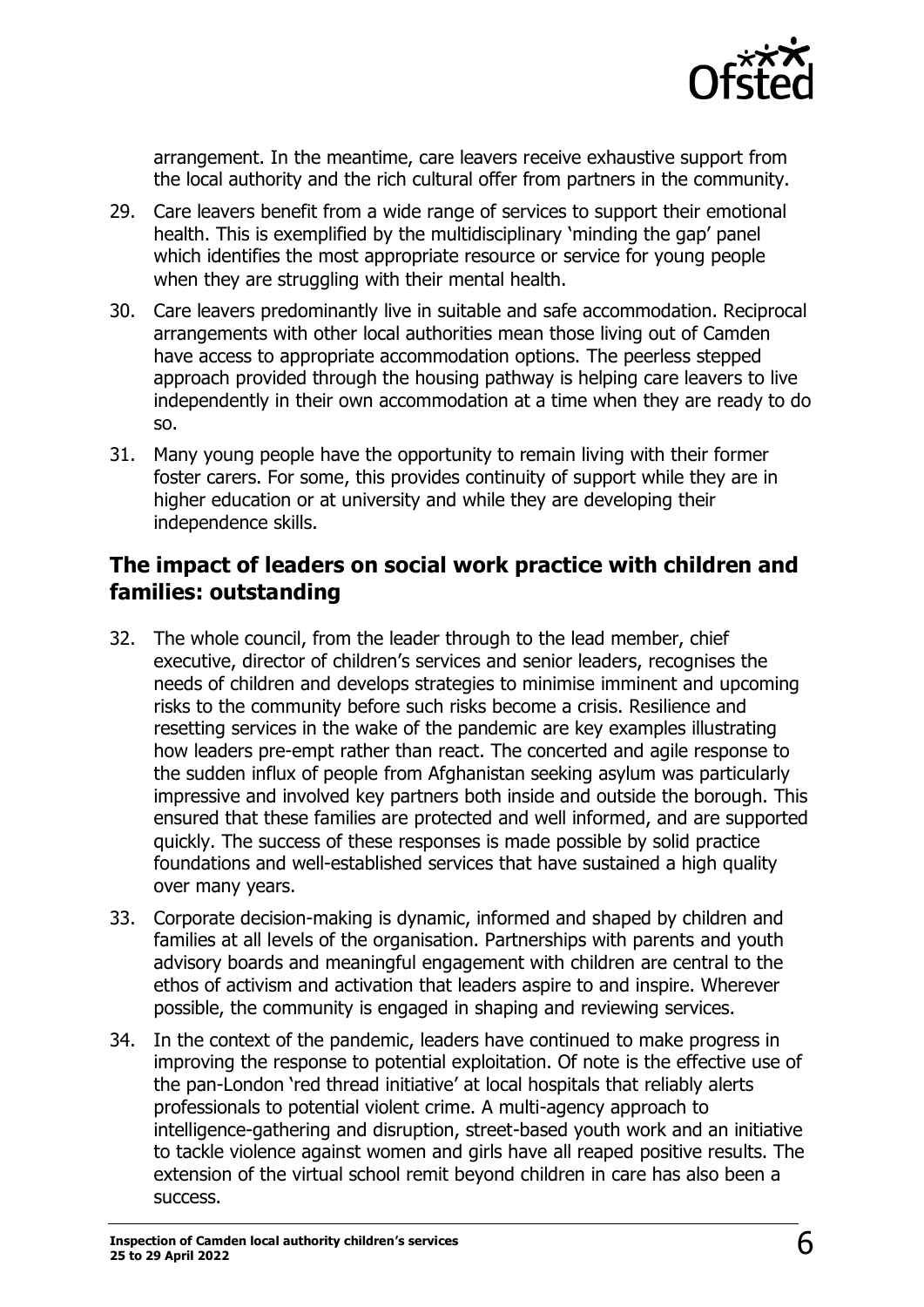

arrangement. In the meantime, care leavers receive exhaustive support from the local authority and the rich cultural offer from partners in the community. 

- 29. Care leavers benefit from a wide range of services to support their emotional health. This is exemplified by the multidisciplinary 'minding the gap' panel which identifies the most appropriate resource or service for young people when they are struggling with their mental health.
- 30. Care leavers predominantly live in suitable and safe accommodation. Reciprocal arrangements with other local authorities mean those living out of Camden have access to appropriate accommodation options. The peerless stepped approach provided through the housing pathway is helping care leavers to live independently in their own accommodation at a time when they are ready to do so.
- 31. Many young people have the opportunity to remain living with their former foster carers. For some, this provides continuity of support while they are in higher education or at university and while they are developing their independence skills.

## **The impact of leaders on social work practice with children and families: outstanding**

- 32. The whole council, from the leader through to the lead member, chief executive, director of children's services and senior leaders, recognises the needs of children and develops strategies to minimise imminent and upcoming risks to the community before such risks become a crisis. Resilience and resetting services in the wake of the pandemic are key examples illustrating how leaders pre-empt rather than react. The concerted and agile response to the sudden influx of people from Afghanistan seeking asylum was particularly impressive and involved key partners both inside and outside the borough. This ensured that these families are protected and well informed, and are supported quickly. The success of these responses is made possible by solid practice foundations and well-established services that have sustained a high quality over many years.
- 33. Corporate decision-making is dynamic, informed and shaped by children and families at all levels of the organisation. Partnerships with parents and youth advisory boards and meaningful engagement with children are central to the ethos of activism and activation that leaders aspire to and inspire. Wherever possible, the community is engaged in shaping and reviewing services.
- 34. In the context of the pandemic, leaders have continued to make progress in improving the response to potential exploitation. Of note is the effective use of the pan-London 'red thread initiative' at local hospitals that reliably alerts professionals to potential violent crime. A multi-agency approach to intelligence-gathering and disruption, street-based youth work and an initiative to tackle violence against women and girls have all reaped positive results. The extension of the virtual school remit beyond children in care has also been a success.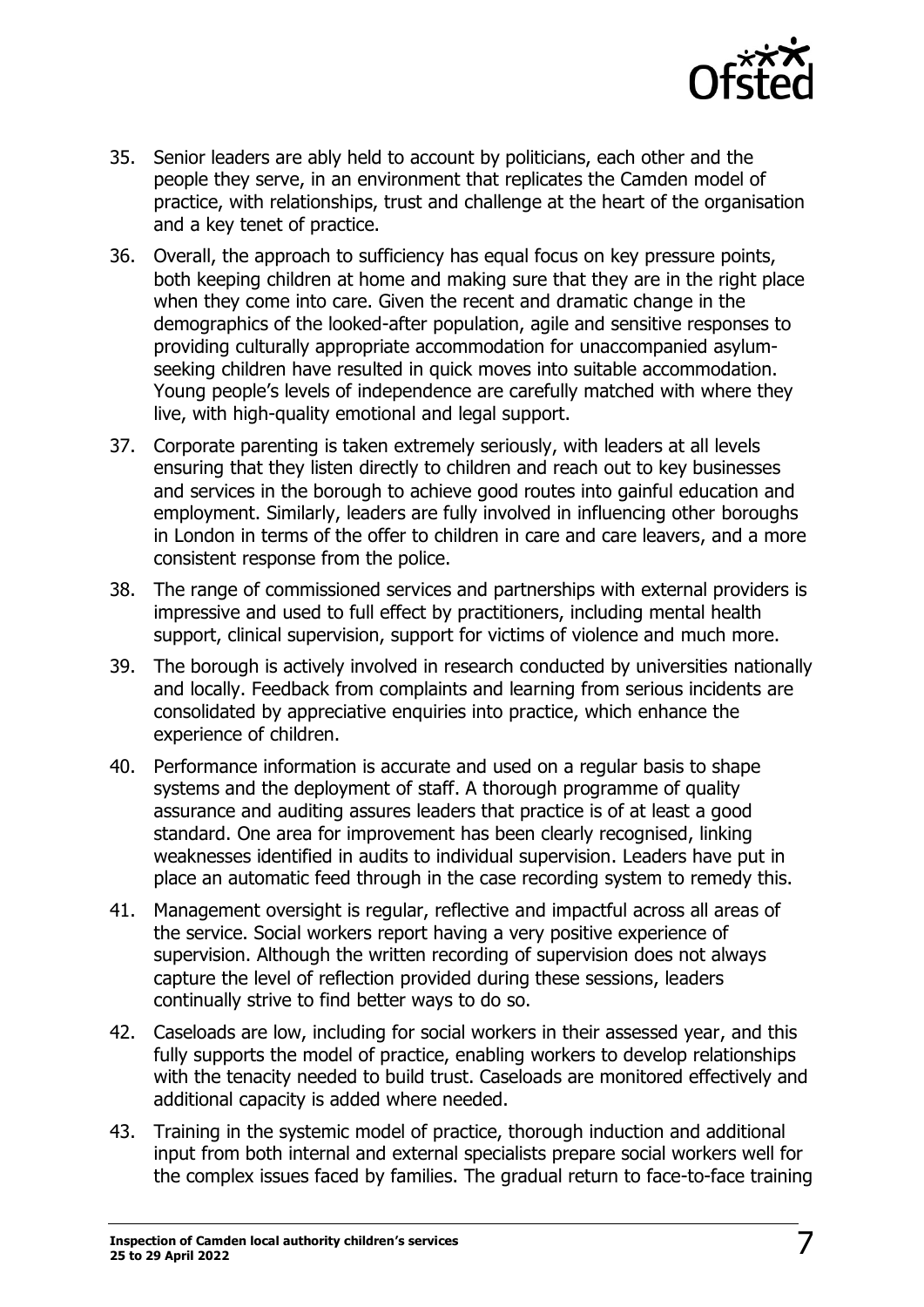

- 35. Senior leaders are ably held to account by politicians, each other and the people they serve, in an environment that replicates the Camden model of practice, with relationships, trust and challenge at the heart of the organisation and a key tenet of practice.
- 36. Overall, the approach to sufficiency has equal focus on key pressure points, both keeping children at home and making sure that they are in the right place when they come into care. Given the recent and dramatic change in the demographics of the looked-after population, agile and sensitive responses to providing culturally appropriate accommodation for unaccompanied asylumseeking children have resulted in quick moves into suitable accommodation. Young people's levels of independence are carefully matched with where they live, with high-quality emotional and legal support.
- 37. Corporate parenting is taken extremely seriously, with leaders at all levels ensuring that they listen directly to children and reach out to key businesses and services in the borough to achieve good routes into gainful education and employment. Similarly, leaders are fully involved in influencing other boroughs in London in terms of the offer to children in care and care leavers, and a more consistent response from the police.
- 38. The range of commissioned services and partnerships with external providers is impressive and used to full effect by practitioners, including mental health support, clinical supervision, support for victims of violence and much more.
- 39. The borough is actively involved in research conducted by universities nationally and locally. Feedback from complaints and learning from serious incidents are consolidated by appreciative enquiries into practice, which enhance the experience of children.
- 40. Performance information is accurate and used on a regular basis to shape systems and the deployment of staff. A thorough programme of quality assurance and auditing assures leaders that practice is of at least a good standard. One area for improvement has been clearly recognised, linking weaknesses identified in audits to individual supervision. Leaders have put in place an automatic feed through in the case recording system to remedy this.
- 41. Management oversight is regular, reflective and impactful across all areas of the service. Social workers report having a very positive experience of supervision. Although the written recording of supervision does not always capture the level of reflection provided during these sessions, leaders continually strive to find better ways to do so.
- 42. Caseloads are low, including for social workers in their assessed year, and this fully supports the model of practice, enabling workers to develop relationships with the tenacity needed to build trust. Caseloads are monitored effectively and additional capacity is added where needed.
- 43. Training in the systemic model of practice, thorough induction and additional input from both internal and external specialists prepare social workers well for the complex issues faced by families. The gradual return to face-to-face training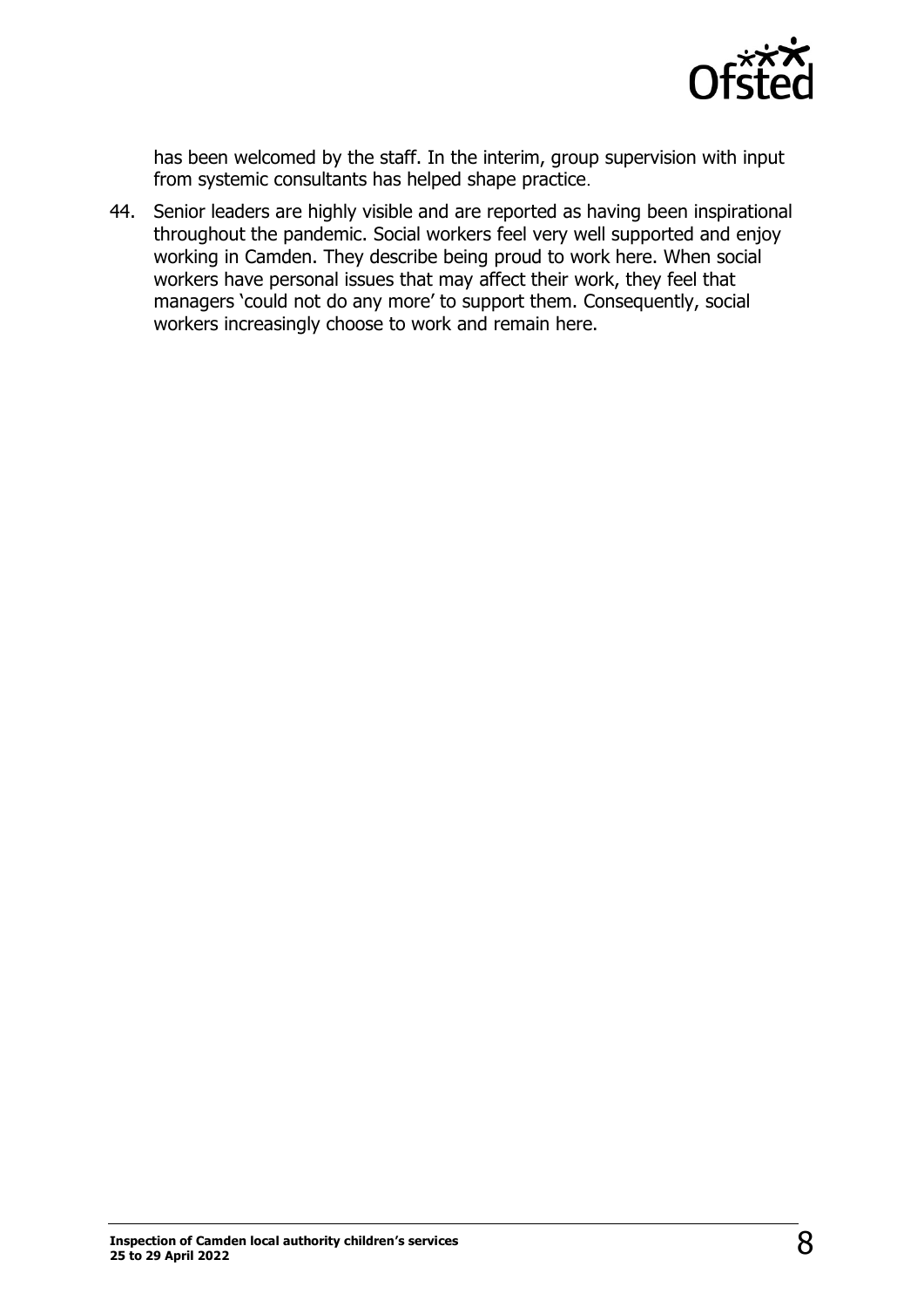

has been welcomed by the staff. In the interim, group supervision with input from systemic consultants has helped shape practice.

44. Senior leaders are highly visible and are reported as having been inspirational throughout the pandemic. Social workers feel very well supported and enjoy working in Camden. They describe being proud to work here. When social workers have personal issues that may affect their work, they feel that managers 'could not do any more' to support them. Consequently, social workers increasingly choose to work and remain here.